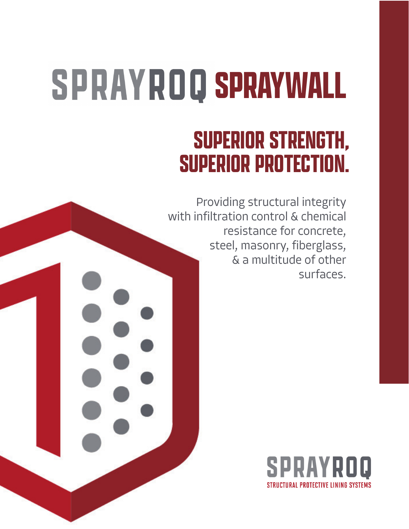## **SPRAYWALL**

## **SUPERIOR STRENGTH, SUPERIOR PROTECTION.**

Providing structural integrity with infiltration control & chemical resistance for concrete, steel, masonry, fiberglass, & a multitude of other surfaces.